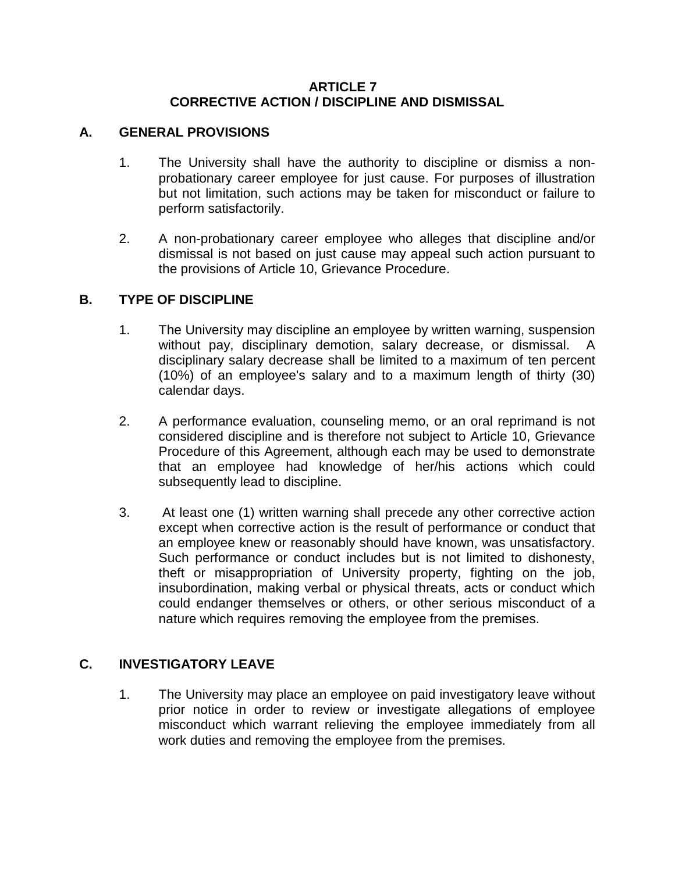#### **ARTICLE 7 CORRECTIVE ACTION / DISCIPLINE AND DISMISSAL**

### **A. GENERAL PROVISIONS**

- 1. The University shall have the authority to discipline or dismiss a nonprobationary career employee for just cause. For purposes of illustration but not limitation, such actions may be taken for misconduct or failure to perform satisfactorily.
- 2. A non-probationary career employee who alleges that discipline and/or dismissal is not based on just cause may appeal such action pursuant to the provisions of Article 10, Grievance Procedure.

### **B. TYPE OF DISCIPLINE**

- 1. The University may discipline an employee by written warning, suspension without pay, disciplinary demotion, salary decrease, or dismissal. A disciplinary salary decrease shall be limited to a maximum of ten percent (10%) of an employee's salary and to a maximum length of thirty (30) calendar days.
- 2. A performance evaluation, counseling memo, or an oral reprimand is not considered discipline and is therefore not subject to Article 10, Grievance Procedure of this Agreement, although each may be used to demonstrate that an employee had knowledge of her/his actions which could subsequently lead to discipline.
- 3. At least one (1) written warning shall precede any other corrective action except when corrective action is the result of performance or conduct that an employee knew or reasonably should have known, was unsatisfactory. Such performance or conduct includes but is not limited to dishonesty, theft or misappropriation of University property, fighting on the job, insubordination, making verbal or physical threats, acts or conduct which could endanger themselves or others, or other serious misconduct of a nature which requires removing the employee from the premises.

## **C. INVESTIGATORY LEAVE**

1. The University may place an employee on paid investigatory leave without prior notice in order to review or investigate allegations of employee misconduct which warrant relieving the employee immediately from all work duties and removing the employee from the premises.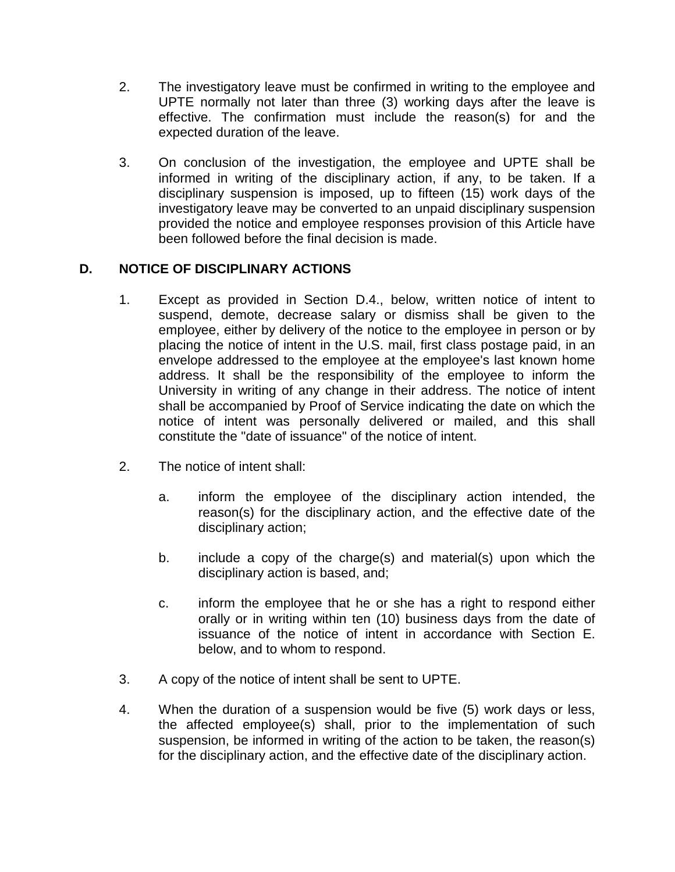- 2. The investigatory leave must be confirmed in writing to the employee and UPTE normally not later than three (3) working days after the leave is effective. The confirmation must include the reason(s) for and the expected duration of the leave.
- 3. On conclusion of the investigation, the employee and UPTE shall be informed in writing of the disciplinary action, if any, to be taken. If a disciplinary suspension is imposed, up to fifteen (15) work days of the investigatory leave may be converted to an unpaid disciplinary suspension provided the notice and employee responses provision of this Article have been followed before the final decision is made.

# **D. NOTICE OF DISCIPLINARY ACTIONS**

- 1. Except as provided in Section D.4., below, written notice of intent to suspend, demote, decrease salary or dismiss shall be given to the employee, either by delivery of the notice to the employee in person or by placing the notice of intent in the U.S. mail, first class postage paid, in an envelope addressed to the employee at the employee's last known home address. It shall be the responsibility of the employee to inform the University in writing of any change in their address. The notice of intent shall be accompanied by Proof of Service indicating the date on which the notice of intent was personally delivered or mailed, and this shall constitute the "date of issuance" of the notice of intent.
- 2. The notice of intent shall:
	- a. inform the employee of the disciplinary action intended, the reason(s) for the disciplinary action, and the effective date of the disciplinary action;
	- b. include a copy of the charge(s) and material(s) upon which the disciplinary action is based, and;
	- c. inform the employee that he or she has a right to respond either orally or in writing within ten (10) business days from the date of issuance of the notice of intent in accordance with Section E. below, and to whom to respond.
- 3. A copy of the notice of intent shall be sent to UPTE.
- 4. When the duration of a suspension would be five (5) work days or less, the affected employee(s) shall, prior to the implementation of such suspension, be informed in writing of the action to be taken, the reason(s) for the disciplinary action, and the effective date of the disciplinary action.